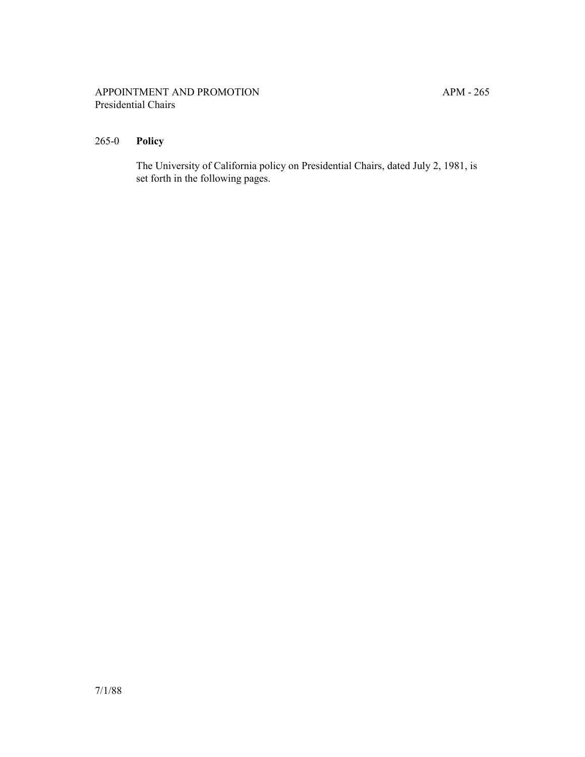## APPOINTMENT AND PROMOTION APM - 265 Presidential Chairs

## 265-0 **Policy**

The University of California policy on Presidential Chairs, dated July 2, 1981, is set forth in the following pages.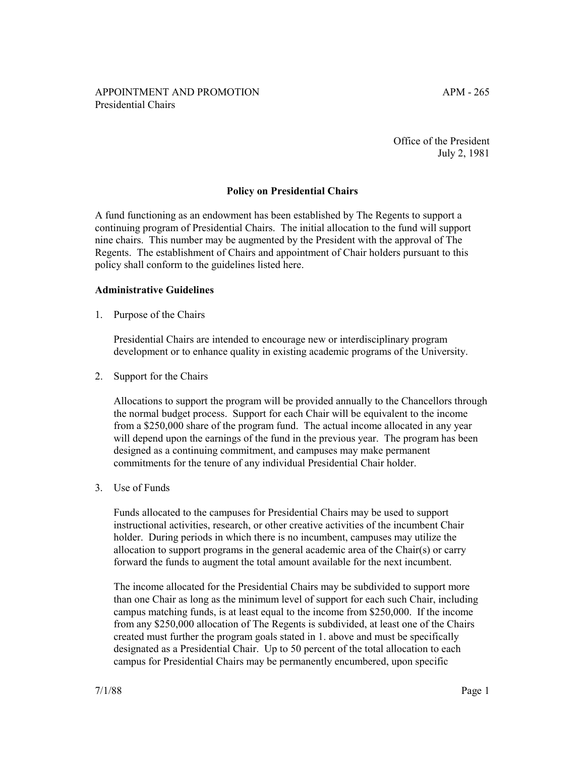Office of the President July 2, 1981

## **Policy on Presidential Chairs**

A fund functioning as an endowment has been established by The Regents to support a continuing program of Presidential Chairs. The initial allocation to the fund will support nine chairs. This number may be augmented by the President with the approval of The Regents. The establishment of Chairs and appointment of Chair holders pursuant to this policy shall conform to the guidelines listed here.

## **Administrative Guidelines**

1. Purpose of the Chairs

Presidential Chairs are intended to encourage new or interdisciplinary program development or to enhance quality in existing academic programs of the University.

2. Support for the Chairs

Allocations to support the program will be provided annually to the Chancellors through the normal budget process. Support for each Chair will be equivalent to the income from a \$250,000 share of the program fund. The actual income allocated in any year will depend upon the earnings of the fund in the previous year. The program has been designed as a continuing commitment, and campuses may make permanent commitments for the tenure of any individual Presidential Chair holder.

3. Use of Funds

Funds allocated to the campuses for Presidential Chairs may be used to support instructional activities, research, or other creative activities of the incumbent Chair holder. During periods in which there is no incumbent, campuses may utilize the allocation to support programs in the general academic area of the Chair(s) or carry forward the funds to augment the total amount available for the next incumbent.

The income allocated for the Presidential Chairs may be subdivided to support more than one Chair as long as the minimum level of support for each such Chair, including campus matching funds, is at least equal to the income from \$250,000. If the income from any \$250,000 allocation of The Regents is subdivided, at least one of the Chairs created must further the program goals stated in 1. above and must be specifically designated as a Presidential Chair. Up to 50 percent of the total allocation to each campus for Presidential Chairs may be permanently encumbered, upon specific